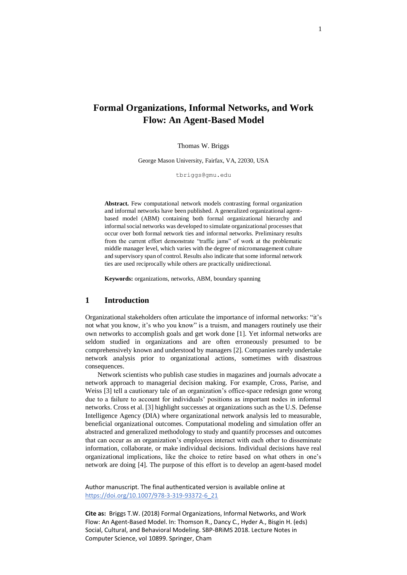# **Formal Organizations, Informal Networks, and Work Flow: An Agent-Based Model**

Thomas W. Briggs

George Mason University, Fairfax, VA, 22030, USA

tbriggs@gmu.edu

**Abstract.** Few computational network models contrasting formal organization and informal networks have been published. A generalized organizational agentbased model (ABM) containing both formal organizational hierarchy and informal social networks was developed to simulate organizational processes that occur over both formal network ties and informal networks. Preliminary results from the current effort demonstrate "traffic jams" of work at the problematic middle manager level, which varies with the degree of micromanagement culture and supervisory span of control. Results also indicate that some informal network ties are used reciprocally while others are practically unidirectional.

**Keywords:** organizations, networks, ABM, boundary spanning

#### **1 Introduction**

Organizational stakeholders often articulate the importance of informal networks: "it's not what you know, it's who you know" is a truism, and managers routinely use their own networks to accomplish goals and get work done [1]. Yet informal networks are seldom studied in organizations and are often erroneously presumed to be comprehensively known and understood by managers [2]. Companies rarely undertake network analysis prior to organizational actions, sometimes with disastrous consequences.

Network scientists who publish case studies in magazines and journals advocate a network approach to managerial decision making. For example, Cross, Parise, and Weiss [3] tell a cautionary tale of an organization's office-space redesign gone wrong due to a failure to account for individuals' positions as important nodes in informal networks. Cross et al. [3] highlight successes at organizations such as the U.S. Defense Intelligence Agency (DIA) where organizational network analysis led to measurable, beneficial organizational outcomes. Computational modeling and simulation offer an abstracted and generalized methodology to study and quantify processes and outcomes that can occur as an organization's employees interact with each other to disseminate information, collaborate, or make individual decisions. Individual decisions have real organizational implications, like the choice to retire based on what others in one's network are doing [4]. The purpose of this effort is to develop an agent-based model

Author manuscript. The final authenticated version is available online at [https://doi.org/10.1007/978-3-319-93372-6\\_21](https://doi.org/10.1007/978-3-319-93372-6_21)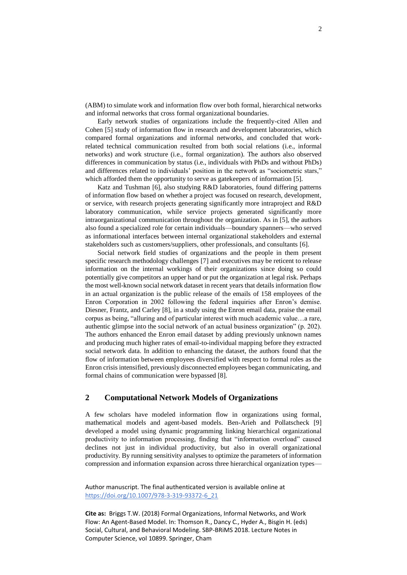(ABM) to simulate work and information flow over both formal, hierarchical networks and informal networks that cross formal organizational boundaries.

Early network studies of organizations include the frequently-cited Allen and Cohen [5] study of information flow in research and development laboratories, which compared formal organizations and informal networks, and concluded that workrelated technical communication resulted from both social relations (i.e., informal networks) and work structure (i.e., formal organization). The authors also observed differences in communication by status (i.e., individuals with PhDs and without PhDs) and differences related to individuals' position in the network as "sociometric stars," which afforded them the opportunity to serve as gatekeepers of information [5].

Katz and Tushman [6], also studying R&D laboratories, found differing patterns of information flow based on whether a project was focused on research, development, or service, with research projects generating significantly more intraproject and R&D laboratory communication, while service projects generated significantly more intraorganizational communication throughout the organization. As in [5], the authors also found a specialized role for certain individuals—boundary spanners—who served as informational interfaces between internal organizational stakeholders and external stakeholders such as customers/suppliers, other professionals, and consultants [6].

Social network field studies of organizations and the people in them present specific research methodology challenges [7] and executives may be reticent to release information on the internal workings of their organizations since doing so could potentially give competitors an upper hand or put the organization at legal risk. Perhaps the most well-known social network dataset in recent years that details information flow in an actual organization is the public release of the emails of 158 employees of the Enron Corporation in 2002 following the federal inquiries after Enron's demise. Diesner, Frantz, and Carley [8], in a study using the Enron email data, praise the email corpus as being, "alluring and of particular interest with much academic value…a rare, authentic glimpse into the social network of an actual business organization" (p. 202). The authors enhanced the Enron email dataset by adding previously unknown names and producing much higher rates of email-to-individual mapping before they extracted social network data. In addition to enhancing the dataset, the authors found that the flow of information between employees diversified with respect to formal roles as the Enron crisis intensified, previously disconnected employees began communicating, and formal chains of communication were bypassed [8].

#### **2 Computational Network Models of Organizations**

A few scholars have modeled information flow in organizations using formal, mathematical models and agent-based models. Ben-Arieh and Pollatscheck [9] developed a model using dynamic programming linking hierarchical organizational productivity to information processing, finding that "information overload" caused declines not just in individual productivity, but also in overall organizational productivity. By running sensitivity analyses to optimize the parameters of information compression and information expansion across three hierarchical organization types—

Author manuscript. The final authenticated version is available online at [https://doi.org/10.1007/978-3-319-93372-6\\_21](https://doi.org/10.1007/978-3-319-93372-6_21)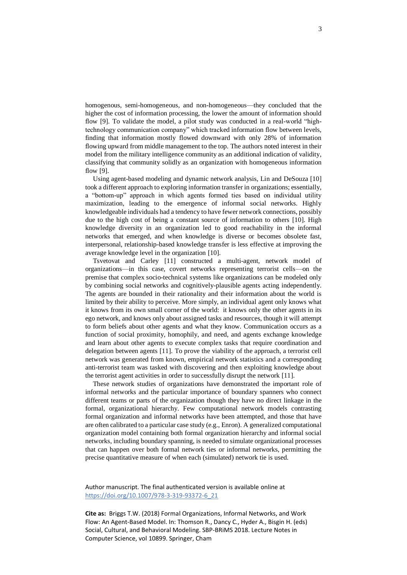homogenous, semi-homogeneous, and non-homogeneous—they concluded that the higher the cost of information processing, the lower the amount of information should flow [9]. To validate the model, a pilot study was conducted in a real-world "hightechnology communication company" which tracked information flow between levels, finding that information mostly flowed downward with only 28% of information flowing upward from middle management to the top. The authors noted interest in their model from the military intelligence community as an additional indication of validity, classifying that community solidly as an organization with homogeneous information flow [9].

Using agent-based modeling and dynamic network analysis, Lin and DeSouza [10] took a different approach to exploring information transfer in organizations; essentially, a "bottom-up" approach in which agents formed ties based on individual utility maximization, leading to the emergence of informal social networks. Highly knowledgeable individuals had a tendency to have fewer network connections, possibly due to the high cost of being a constant source of information to others [10]. High knowledge diversity in an organization led to good reachability in the informal networks that emerged, and when knowledge is diverse or becomes obsolete fast, interpersonal, relationship-based knowledge transfer is less effective at improving the average knowledge level in the organization [10].

Tsvetovat and Carley [11] constructed a multi-agent, network model of organizations—in this case, covert networks representing terrorist cells—on the premise that complex socio-technical systems like organizations can be modeled only by combining social networks and cognitively-plausible agents acting independently. The agents are bounded in their rationality and their information about the world is limited by their ability to perceive. More simply, an individual agent only knows what it knows from its own small corner of the world: it knows only the other agents in its ego network, and knows only about assigned tasks and resources, though it will attempt to form beliefs about other agents and what they know. Communication occurs as a function of social proximity, homophily, and need, and agents exchange knowledge and learn about other agents to execute complex tasks that require coordination and delegation between agents [11]. To prove the viability of the approach, a terrorist cell network was generated from known, empirical network statistics and a corresponding anti-terrorist team was tasked with discovering and then exploiting knowledge about the terrorist agent activities in order to successfully disrupt the network [11].

These network studies of organizations have demonstrated the important role of informal networks and the particular importance of boundary spanners who connect different teams or parts of the organization though they have no direct linkage in the formal, organizational hierarchy. Few computational network models contrasting formal organization and informal networks have been attempted, and those that have are often calibrated to a particular case study (e.g., Enron). A generalized computational organization model containing both formal organization hierarchy and informal social networks, including boundary spanning, is needed to simulate organizational processes that can happen over both formal network ties or informal networks, permitting the precise quantitative measure of when each (simulated) network tie is used.

Author manuscript. The final authenticated version is available online at [https://doi.org/10.1007/978-3-319-93372-6\\_21](https://doi.org/10.1007/978-3-319-93372-6_21)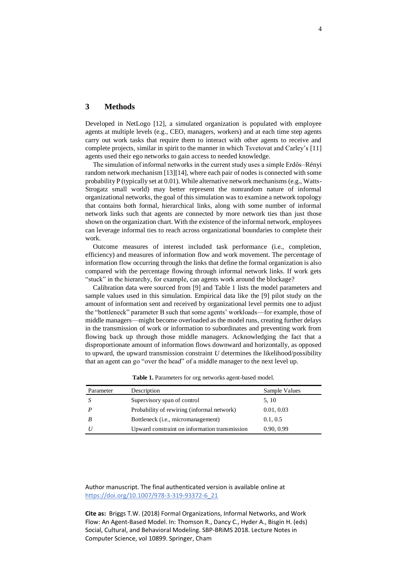## **3 Methods**

Developed in NetLogo [12], a simulated organization is populated with employee agents at multiple levels (e.g., CEO, managers, workers) and at each time step agents carry out work tasks that require them to interact with other agents to receive and complete projects, similar in spirit to the manner in which Tsvetovat and Carley's [11] agents used their ego networks to gain access to needed knowledge.

The simulation of informal networks in the current study uses a simple Erdős–Rényi random network mechanism [13][14], where each pair of nodes is connected with some probability P (typically set at 0.01). While alternative network mechanisms (e.g., Watts-Strogatz small world) may better represent the nonrandom nature of informal organizational networks, the goal of this simulation was to examine a network topology that contains both formal, hierarchical links, along with some number of informal network links such that agents are connected by more network ties than just those shown on the organization chart. With the existence of the informal network, employees can leverage informal ties to reach across organizational boundaries to complete their work.

Outcome measures of interest included task performance (i.e., completion, efficiency) and measures of information flow and work movement. The percentage of information flow occurring through the links that define the formal organization is also compared with the percentage flowing through informal network links. If work gets "stuck" in the hierarchy, for example, can agents work around the blockage?

Calibration data were sourced from [9] and Table 1 lists the model parameters and sample values used in this simulation. Empirical data like the [9] pilot study on the amount of information sent and received by organizational level permits one to adjust the "bottleneck" parameter B such that some agents' workloads—for example, those of middle managers—might become overloaded as the model runs, creating further delays in the transmission of work or information to subordinates and preventing work from flowing back up through those middle managers. Acknowledging the fact that a disproportionate amount of information flows downward and horizontally, as opposed to upward, the upward transmission constraint *U* determines the likelihood/possibility that an agent can go "over the head" of a middle manager to the next level up.

| Parameter | Description                                   | Sample Values |
|-----------|-----------------------------------------------|---------------|
|           | Supervisory span of control                   | 5, 10         |
|           | Probability of rewiring (informal network)    | 0.01, 0.03    |
|           | Bottleneck ( <i>i.e.</i> , micromanagement)   | 0.1, 0.5      |
|           | Upward constraint on information transmission | 0.90, 0.99    |

**Table 1.** Parameters for org networks agent-based model.

Author manuscript. The final authenticated version is available online at [https://doi.org/10.1007/978-3-319-93372-6\\_21](https://doi.org/10.1007/978-3-319-93372-6_21)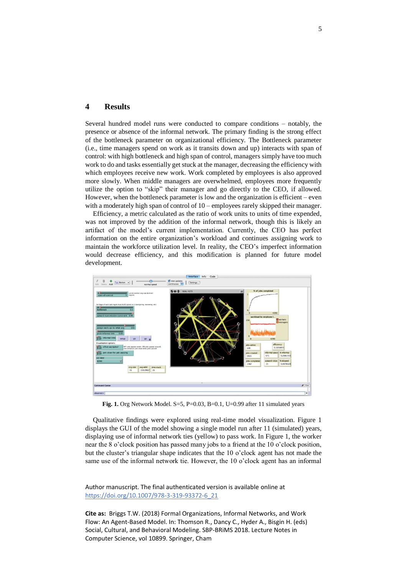## **4 Results**

Several hundred model runs were conducted to compare conditions – notably, the presence or absence of the informal network. The primary finding is the strong effect of the bottleneck parameter on organizational efficiency. The Bottleneck parameter (i.e., time managers spend on work as it transits down and up) interacts with span of control: with high bottleneck and high span of control, managers simply have too much work to do and tasks essentially get stuck at the manager, decreasing the efficiency with which employees receive new work. Work completed by employees is also approved more slowly. When middle managers are overwhelmed, employees more frequently utilize the option to "skip" their manager and go directly to the CEO, if allowed. However, when the bottleneck parameter is low and the organization is efficient – even with a moderately high span of control of  $10$  – employees rarely skipped their manager.

Efficiency, a metric calculated as the ratio of work units to units of time expended, was not improved by the addition of the informal network, though this is likely an artifact of the model's current implementation. Currently, the CEO has perfect information on the entire organization's workload and continues assigning work to maintain the workforce utilization level. In reality, the CEO's imperfect information would decrease efficiency, and this modification is planned for future model development.



**Fig. 1.** Org Network Model. S=5, P=0.03, B=0.1, U=0.99 after 11 simulated years

Qualitative findings were explored using real-time model visualization. Figure 1 displays the GUI of the model showing a single model run after 11 (simulated) years, displaying use of informal network ties (yellow) to pass work. In Figure 1, the worker near the 8 o'clock position has passed many jobs to a friend at the 10 o'clock position, but the cluster's triangular shape indicates that the 10 o'clock agent has not made the same use of the informal network tie. However, the 10 o'clock agent has an informal

Author manuscript. The final authenticated version is available online at [https://doi.org/10.1007/978-3-319-93372-6\\_21](https://doi.org/10.1007/978-3-319-93372-6_21)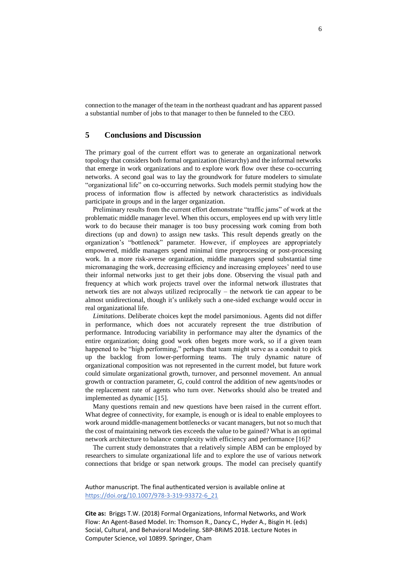connection to the manager of the team in the northeast quadrant and has apparent passed a substantial number of jobs to that manager to then be funneled to the CEO.

## **5 Conclusions and Discussion**

The primary goal of the current effort was to generate an organizational network topology that considers both formal organization (hierarchy) and the informal networks that emerge in work organizations and to explore work flow over these co-occurring networks. A second goal was to lay the groundwork for future modelers to simulate "organizational life" on co-occurring networks. Such models permit studying how the process of information flow is affected by network characteristics as individuals participate in groups and in the larger organization.

Preliminary results from the current effort demonstrate "traffic jams" of work at the problematic middle manager level. When this occurs, employees end up with very little work to do because their manager is too busy processing work coming from both directions (up and down) to assign new tasks. This result depends greatly on the organization's "bottleneck" parameter. However, if employees are appropriately empowered, middle managers spend minimal time preprocessing or post-processing work. In a more risk-averse organization, middle managers spend substantial time micromanaging the work, decreasing efficiency and increasing employees' need to use their informal networks just to get their jobs done. Observing the visual path and frequency at which work projects travel over the informal network illustrates that network ties are not always utilized reciprocally – the network tie can appear to be almost unidirectional, though it's unlikely such a one-sided exchange would occur in real organizational life.

*Limitations*. Deliberate choices kept the model parsimonious. Agents did not differ in performance, which does not accurately represent the true distribution of performance. Introducing variability in performance may alter the dynamics of the entire organization; doing good work often begets more work, so if a given team happened to be "high performing," perhaps that team might serve as a conduit to pick up the backlog from lower-performing teams. The truly dynamic nature of organizational composition was not represented in the current model, but future work could simulate organizational growth, turnover, and personnel movement. An annual growth or contraction parameter, *G*, could control the addition of new agents/nodes or the replacement rate of agents who turn over. Networks should also be treated and implemented as dynamic [15].

Many questions remain and new questions have been raised in the current effort. What degree of connectivity, for example, is enough or is ideal to enable employees to work around middle-management bottlenecks or vacant managers, but not so much that the cost of maintaining network ties exceeds the value to be gained? What is an optimal network architecture to balance complexity with efficiency and performance [16]?

The current study demonstrates that a relatively simple ABM can be employed by researchers to simulate organizational life and to explore the use of various network connections that bridge or span network groups. The model can precisely quantify

Author manuscript. The final authenticated version is available online at [https://doi.org/10.1007/978-3-319-93372-6\\_21](https://doi.org/10.1007/978-3-319-93372-6_21)